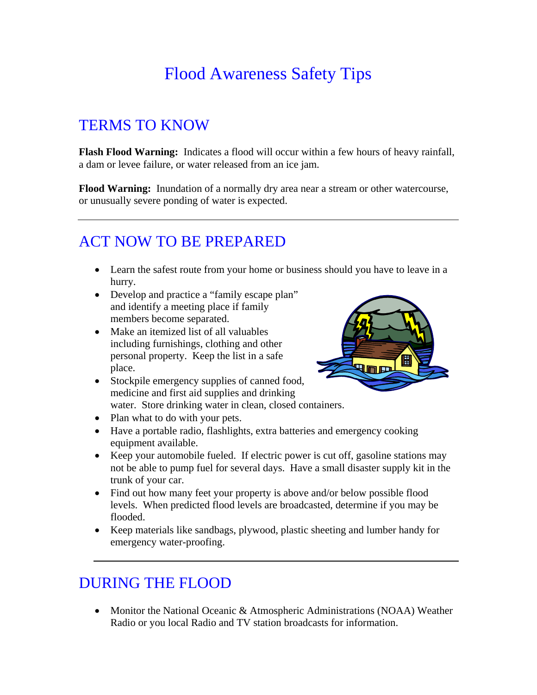# Flood Awareness Safety Tips

### TERMS TO KNOW

**Flash Flood Warning:** Indicates a flood will occur within a few hours of heavy rainfall, a dam or levee failure, or water released from an ice jam.

**Flood Warning:** Inundation of a normally dry area near a stream or other watercourse, or unusually severe ponding of water is expected.

#### ACT NOW TO BE PREPARED

- Learn the safest route from your home or business should you have to leave in a hurry.
- Develop and practice a "family escape plan" and identify a meeting place if family members become separated.
- Make an itemized list of all valuables including furnishings, clothing and other personal property. Keep the list in a safe place.



- Stockpile emergency supplies of canned food, medicine and first aid supplies and drinking water. Store drinking water in clean, closed containers.
- Plan what to do with your pets.
- Have a portable radio, flashlights, extra batteries and emergency cooking equipment available.
- Keep your automobile fueled. If electric power is cut off, gasoline stations may not be able to pump fuel for several days. Have a small disaster supply kit in the trunk of your car.
- Find out how many feet your property is above and/or below possible flood levels. When predicted flood levels are broadcasted, determine if you may be flooded.
- Keep materials like sandbags, plywood, plastic sheeting and lumber handy for emergency water-proofing.

### DURING THE FLOOD

• Monitor the National Oceanic & Atmospheric Administrations (NOAA) Weather Radio or you local Radio and TV station broadcasts for information.